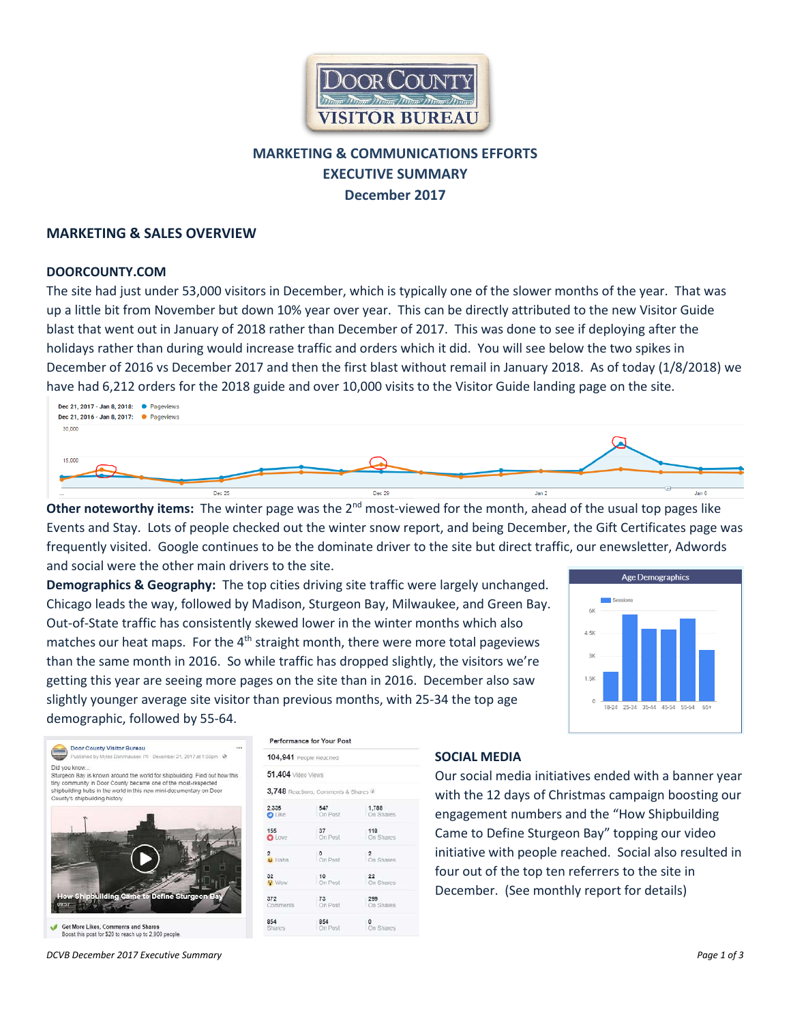

# **MARKETING & COMMUNICATIONS EFFORTS EXECUTIVE SUMMARY December 2017**

### **MARKETING & SALES OVERVIEW**

#### **DOORCOUNTY.COM**

The site had just under 53,000 visitors in December, which is typically one of the slower months of the year. That was up a little bit from November but down 10% year over year. This can be directly attributed to the new Visitor Guide blast that went out in January of 2018 rather than December of 2017. This was done to see if deploying after the holidays rather than during would increase traffic and orders which it did. You will see below the two spikes in December of 2016 vs December 2017 and then the first blast without remail in January 2018. As of today (1/8/2018) we have had 6,212 orders for the 2018 guide and over 10,000 visits to the Visitor Guide landing page on the site.



**Other noteworthy items:** The winter page was the 2<sup>nd</sup> most-viewed for the month, ahead of the usual top pages like Events and Stay. Lots of people checked out the winter snow report, and being December, the Gift Certificates page was frequently visited. Google continues to be the dominate driver to the site but direct traffic, our enewsletter, Adwords and social were the other main drivers to the site.

**Demographics & Geography:** The top cities driving site traffic were largely unchanged. Chicago leads the way, followed by Madison, Sturgeon Bay, Milwaukee, and Green Bay. Out-of-State traffic has consistently skewed lower in the winter months which also matches our heat maps. For the  $4<sup>th</sup>$  straight month, there were more total pageviews than the same month in 2016. So while traffic has dropped slightly, the visitors we're getting this year are seeing more pages on the site than in 2016. December also saw slightly younger average site visitor than previous months, with 25-34 the top age demographic, followed by 55-64.



|              |                                | Door County Visitor Bureau |                                                                                                                                       | Published by Myles Dannhausen (?) - December 21, 2017 at 1:56pm - @        |  |
|--------------|--------------------------------|----------------------------|---------------------------------------------------------------------------------------------------------------------------------------|----------------------------------------------------------------------------|--|
| Did you know | County's shipbuilding history. |                            | tiny community in Door County became one of the most-respected<br>shipbuilding hubs in the world in this new mini-documentary on Door | Sturgeon Bay is known around the world for shipbuilding. Find out how this |  |
|              |                                |                            |                                                                                                                                       |                                                                            |  |
|              |                                |                            |                                                                                                                                       |                                                                            |  |
|              |                                |                            |                                                                                                                                       |                                                                            |  |

|  | Get More Likes, Comments and Shares                  |  |
|--|------------------------------------------------------|--|
|  | Boost this post for \$20 to reach up to 2.900 people |  |

Performance for Your Post

| 51,404 Video Views |                                    |                             |  |
|--------------------|------------------------------------|-----------------------------|--|
|                    | 3,748 Reactions, Comments & Shares |                             |  |
| 2,335              | 547                                | 1,788                       |  |
| <b>O</b> Like      | On Post                            | On Shares                   |  |
| 155                | 37                                 | 118                         |  |
| O Love             | On Post                            | On Shares                   |  |
| <b>D</b> Haha      | $^{\circ}$<br>On Post              | $\overline{2}$<br>On Shares |  |
| 32 <sup>°</sup>    | 10                                 | 22                          |  |
| <b>NOW</b>         | On Post                            | On Shares                   |  |
| 372                | 73                                 | 299                         |  |
| Comments           | On Post                            | On Shares                   |  |
| 854<br>Shares      | 854<br>On Post                     | On Shares                   |  |

#### **SOCIAL MEDIA**

Our social media initiatives ended with a banner year with the 12 days of Christmas campaign boosting our engagement numbers and the "How Shipbuilding Came to Define Sturgeon Bay" topping our video initiative with people reached. Social also resulted in four out of the top ten referrers to the site in December. (See monthly report for details)

*DCVB December 2017 Executive Summary Page 1 of 3*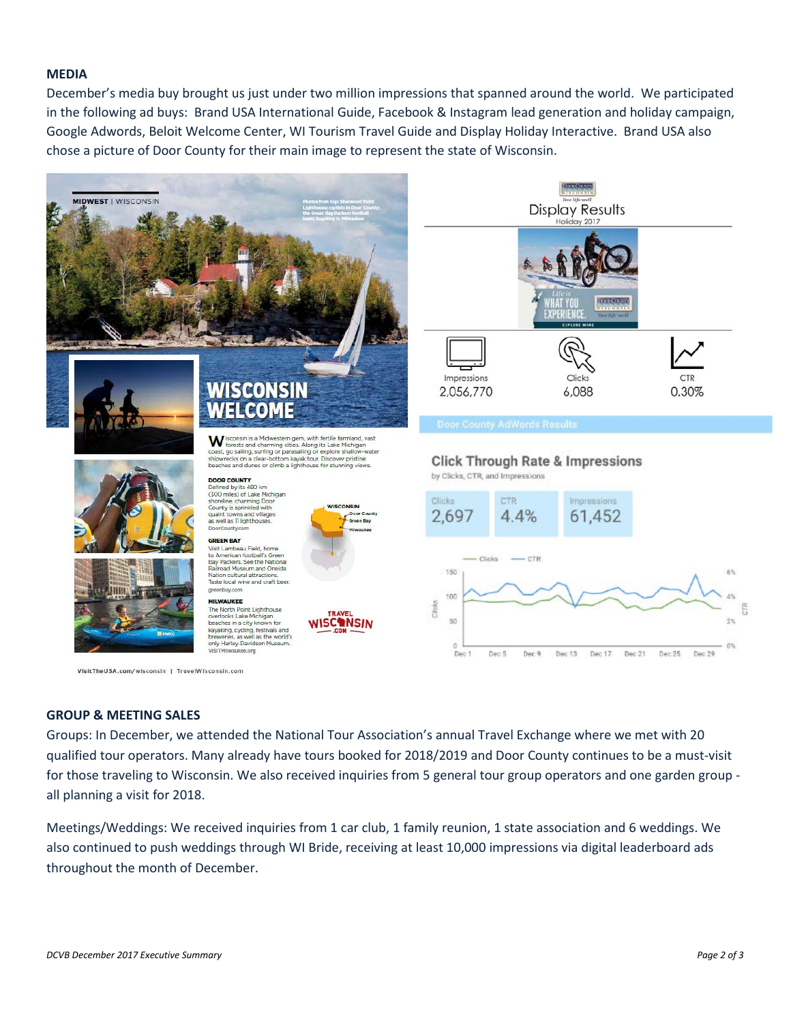#### **MEDIA**

December's media buy brought us just under two million impressions that spanned around the world. We participated in the following ad buys: Brand USA International Guide, Facebook & Instagram lead generation and holiday campaign, Google Adwords, Beloit Welcome Center, WI Tourism Travel Guide and Display Holiday Interactive. Brand USA also chose a picture of Door County for their main image to represent the state of Wisconsin.



#### **GROUP & MEETING SALES**

Groups: In December, we attended the National Tour Association's annual Travel Exchange where we met with 20 qualified tour operators. Many already have tours booked for 2018/2019 and Door County continues to be a must-visit for those traveling to Wisconsin. We also received inquiries from 5 general tour group operators and one garden group all planning a visit for 2018.

Meetings/Weddings: We received inquiries from 1 car club, 1 family reunion, 1 state association and 6 weddings. We also continued to push weddings through WI Bride, receiving at least 10,000 impressions via digital leaderboard ads throughout the month of December.